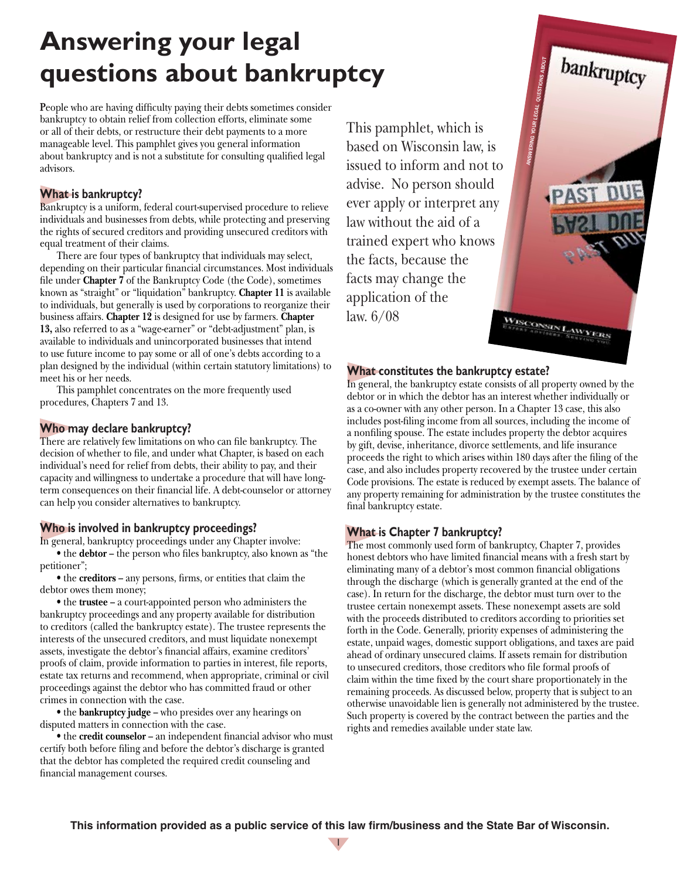# **Answering your legal questions about bankruptcy**

**P**eople who are having difficulty paying their debts sometimes consider bankruptcy to obtain relief from collection efforts, eliminate some or all of their debts, or restructure their debt payments to a more manageable level. This pamphlet gives you general information about bankruptcy and is not a substitute for consulting qualified legal advisors.

#### **What is bankruptcy?**

Bankruptcy is a uniform, federal court-supervised procedure to relieve individuals and businesses from debts, while protecting and preserving the rights of secured creditors and providing unsecured creditors with equal treatment of their claims.

There are four types of bankruptcy that individuals may select, depending on their particular financial circumstances. Most individuals file under **Chapter 7** of the Bankruptcy Code (the Code), sometimes known as "straight" or "liquidation" bankruptcy. **Chapter 11** is available to individuals, but generally is used by corporations to reorganize their business affairs. **Chapter 12** is designed for use by farmers. **Chapter 13,** also referred to as a "wage-earner" or "debt-adjustment" plan, is available to individuals and unincorporated businesses that intend to use future income to pay some or all of one's debts according to a plan designed by the individual (within certain statutory limitations) to meet his or her needs.

This pamphlet concentrates on the more frequently used procedures, Chapters 7 and 13.

#### **Who may declare bankruptcy?**

There are relatively few limitations on who can file bankruptcy. The decision of whether to file, and under what Chapter, is based on each individual's need for relief from debts, their ability to pay, and their capacity and willingness to undertake a procedure that will have longterm consequences on their financial life. A debt-counselor or attorney can help you consider alternatives to bankruptcy.

#### **Who is involved in bankruptcy proceedings?**

In general, bankruptcy proceedings under any Chapter involve:

• the **debtor** – the person who files bankruptcy, also known as "the petitioner";

• the **creditors** – any persons, firms, or entities that claim the debtor owes them money;

• the **trustee** – a court-appointed person who administers the bankruptcy proceedings and any property available for distribution to creditors (called the bankruptcy estate). The trustee represents the interests of the unsecured creditors, and must liquidate nonexempt assets, investigate the debtor's financial affairs, examine creditors' proofs of claim, provide information to parties in interest, file reports, estate tax returns and recommend, when appropriate, criminal or civil proceedings against the debtor who has committed fraud or other crimes in connection with the case.

• the **bankruptcy judge** – who presides over any hearings on disputed matters in connection with the case.

• the **credit counselor** – an independent financial advisor who must certify both before filing and before the debtor's discharge is granted that the debtor has completed the required credit counseling and financial management courses.

This pamphlet, which is based on Wisconsin law, is issued to inform and not to advise. No person should ever apply or interpret any law without the aid of a trained expert who knows the facts, because the facts may change the application of the law. 6/08 WISCONSIN LAW

#### **What constitutes the bankruptcy estate?**

In general, the bankruptcy estate consists of all property owned by the debtor or in which the debtor has an interest whether individually or as a co-owner with any other person. In a Chapter 13 case, this also includes post-filing income from all sources, including the income of a nonfiling spouse. The estate includes property the debtor acquires by gift, devise, inheritance, divorce settlements, and life insurance proceeds the right to which arises within 180 days after the filing of the case, and also includes property recovered by the trustee under certain Code provisions. The estate is reduced by exempt assets. The balance of any property remaining for administration by the trustee constitutes the final bankruptcy estate.

ANSWERING YOUR LEGAL QUESTIONS ABOUT

bankruptcy

**YERS** 

#### **What is Chapter 7 bankruptcy?**

The most commonly used form of bankruptcy, Chapter 7, provides honest debtors who have limited financial means with a fresh start by eliminating many of a debtor's most common financial obligations through the discharge (which is generally granted at the end of the case). In return for the discharge, the debtor must turn over to the trustee certain nonexempt assets. These nonexempt assets are sold with the proceeds distributed to creditors according to priorities set forth in the Code. Generally, priority expenses of administering the estate, unpaid wages, domestic support obligations, and taxes are paid ahead of ordinary unsecured claims. If assets remain for distribution to unsecured creditors, those creditors who file formal proofs of claim within the time fixed by the court share proportionately in the remaining proceeds. As discussed below, property that is subject to an otherwise unavoidable lien is generally not administered by the trustee. Such property is covered by the contract between the parties and the rights and remedies available under state law.

**This information provided as a public service of this law firm/business and the State Bar of Wisconsin.**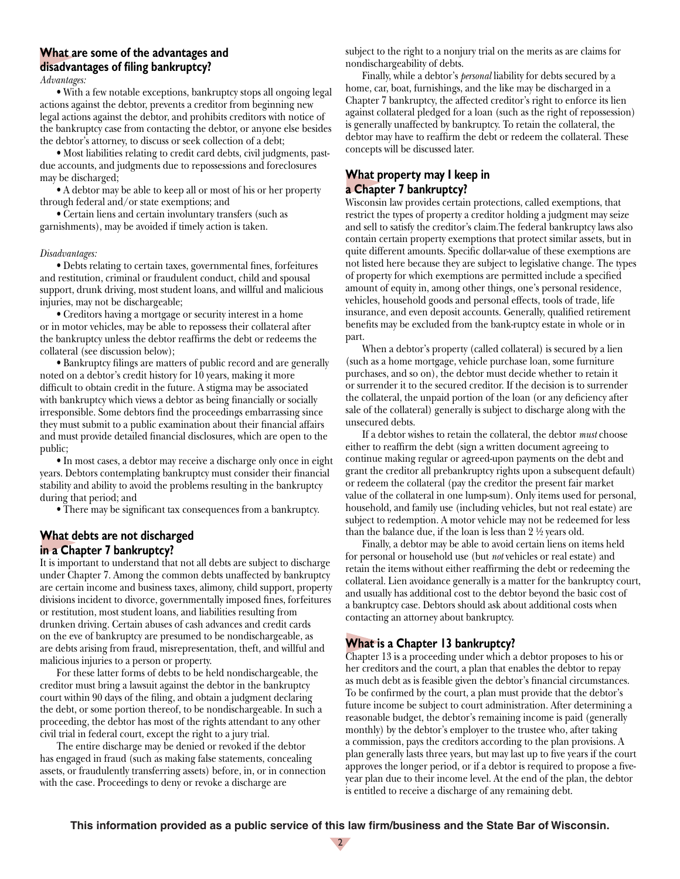## **What are some of the advantages and disadvantages of filing bankruptcy?**

*Advantages:*

• With a few notable exceptions, bankruptcy stops all ongoing legal actions against the debtor, prevents a creditor from beginning new legal actions against the debtor, and prohibits creditors with notice of the bankruptcy case from contacting the debtor, or anyone else besides the debtor's attorney, to discuss or seek collection of a debt;

• Most liabilities relating to credit card debts, civil judgments, pastdue accounts, and judgments due to repossessions and foreclosures may be discharged;

• A debtor may be able to keep all or most of his or her property through federal and/or state exemptions; and

• Certain liens and certain involuntary transfers (such as garnishments), may be avoided if timely action is taken.

#### *Disadvantages:*

• Debts relating to certain taxes, governmental fines, forfeitures and restitution, criminal or fraudulent conduct, child and spousal support, drunk driving, most student loans, and willful and malicious injuries, may not be dischargeable;

• Creditors having a mortgage or security interest in a home or in motor vehicles, may be able to repossess their collateral after the bankruptcy unless the debtor reaffirms the debt or redeems the collateral (see discussion below);

• Bankruptcy filings are matters of public record and are generally noted on a debtor's credit history for 10 years, making it more difficult to obtain credit in the future. A stigma may be associated with bankruptcy which views a debtor as being financially or socially irresponsible. Some debtors find the proceedings embarrassing since they must submit to a public examination about their financial affairs and must provide detailed financial disclosures, which are open to the public;

• In most cases, a debtor may receive a discharge only once in eight years. Debtors contemplating bankruptcy must consider their financial stability and ability to avoid the problems resulting in the bankruptcy during that period; and

• There may be significant tax consequences from a bankruptcy.

#### **What debts are not discharged in a Chapter 7 bankruptcy?**

It is important to understand that not all debts are subject to discharge under Chapter 7. Among the common debts unaffected by bankruptcy are certain income and business taxes, alimony, child support, property divisions incident to divorce, governmentally imposed fines, forfeitures or restitution, most student loans, and liabilities resulting from drunken driving. Certain abuses of cash advances and credit cards on the eve of bankruptcy are presumed to be nondischargeable, as are debts arising from fraud, misrepresentation, theft, and willful and malicious injuries to a person or property.

For these latter forms of debts to be held nondischargeable, the creditor must bring a lawsuit against the debtor in the bankruptcy court within 90 days of the filing, and obtain a judgment declaring the debt, or some portion thereof, to be nondischargeable. In such a proceeding, the debtor has most of the rights attendant to any other civil trial in federal court, except the right to a jury trial.

The entire discharge may be denied or revoked if the debtor has engaged in fraud (such as making false statements, concealing assets, or fraudulently transferring assets) before, in, or in connection with the case. Proceedings to deny or revoke a discharge are

subject to the right to a nonjury trial on the merits as are claims for nondischargeability of debts.

Finally, while a debtor's *personal* liability for debts secured by a home, car, boat, furnishings, and the like may be discharged in a Chapter 7 bankruptcy, the affected creditor's right to enforce its lien against collateral pledged for a loan (such as the right of repossession) is generally unaffected by bankruptcy. To retain the collateral, the debtor may have to reaffirm the debt or redeem the collateral. These concepts will be discussed later.

#### **What property may I keep in a Chapter 7 bankruptcy?**

Wisconsin law provides certain protections, called exemptions, that restrict the types of property a creditor holding a judgment may seize and sell to satisfy the creditor's claim.The federal bankruptcy laws also contain certain property exemptions that protect similar assets, but in quite different amounts. Specific dollar-value of these exemptions are not listed here because they are subject to legislative change. The types of property for which exemptions are permitted include a specified amount of equity in, among other things, one's personal residence, vehicles, household goods and personal effects, tools of trade, life insurance, and even deposit accounts. Generally, qualified retirement benefits may be excluded from the bank-ruptcy estate in whole or in part.

When a debtor's property (called collateral) is secured by a lien (such as a home mortgage, vehicle purchase loan, some furniture purchases, and so on), the debtor must decide whether to retain it or surrender it to the secured creditor. If the decision is to surrender the collateral, the unpaid portion of the loan (or any deficiency after sale of the collateral) generally is subject to discharge along with the unsecured debts.

If a debtor wishes to retain the collateral, the debtor *must* choose either to reaffirm the debt (sign a written document agreeing to continue making regular or agreed-upon payments on the debt and grant the creditor all prebankruptcy rights upon a subsequent default) or redeem the collateral (pay the creditor the present fair market value of the collateral in one lump-sum). Only items used for personal, household, and family use (including vehicles, but not real estate) are subject to redemption. A motor vehicle may not be redeemed for less than the balance due, if the loan is less than 2 ½ years old.

Finally, a debtor may be able to avoid certain liens on items held for personal or household use (but *not* vehicles or real estate) and retain the items without either reaffirming the debt or redeeming the collateral. Lien avoidance generally is a matter for the bankruptcy court, and usually has additional cost to the debtor beyond the basic cost of a bankruptcy case. Debtors should ask about additional costs when contacting an attorney about bankruptcy.

#### **What is a Chapter 13 bankruptcy?**

Chapter 13 is a proceeding under which a debtor proposes to his or her creditors and the court, a plan that enables the debtor to repay as much debt as is feasible given the debtor's financial circumstances. To be confirmed by the court, a plan must provide that the debtor's future income be subject to court administration. After determining a reasonable budget, the debtor's remaining income is paid (generally monthly) by the debtor's employer to the trustee who, after taking a commission, pays the creditors according to the plan provisions. A plan generally lasts three years, but may last up to five years if the court approves the longer period, or if a debtor is required to propose a fiveyear plan due to their income level. At the end of the plan, the debtor is entitled to receive a discharge of any remaining debt.

**This information provided as a public service of this law firm/business and the State Bar of Wisconsin.**